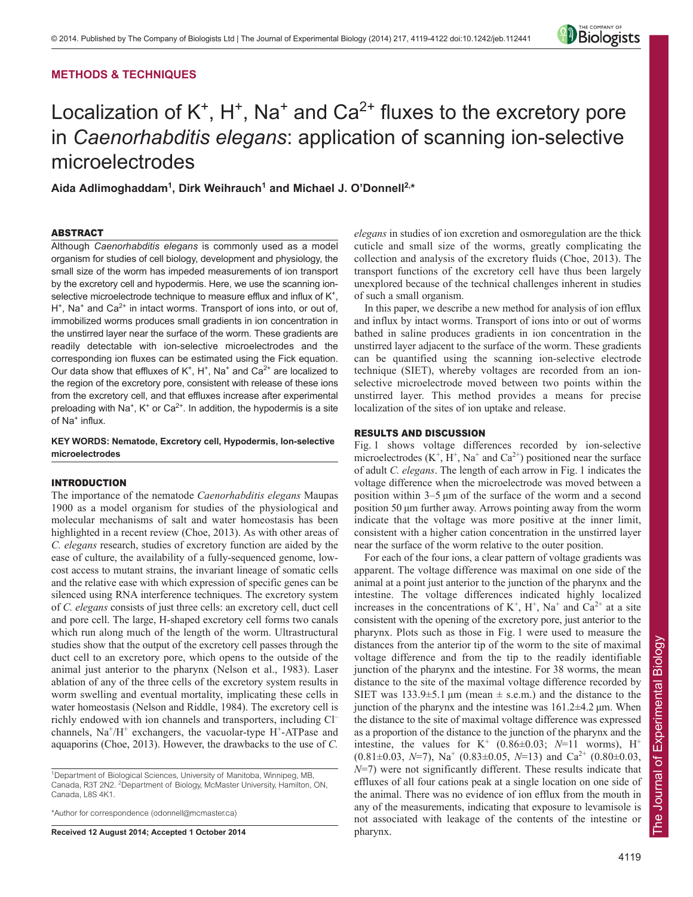# **METHODS & TECHNIQUES**



# Localization of  $K^+$ ,  $H^+$ , Na<sup>+</sup> and Ca<sup>2+</sup> fluxes to the excretory pore in *Caenorhabditis elegans*: application of scanning ion-selective microelectrodes

**Aida Adlimoghaddam1 , Dirk Weihrauch1 and Michael J. O'Donnell2,\***

# ABSTRACT

Although *Caenorhabditis elegans* is commonly used as a model organism for studies of cell biology, development and physiology, the small size of the worm has impeded measurements of ion transport by the excretory cell and hypodermis. Here, we use the scanning ionselective microelectrode technique to measure efflux and influx of K<sup>+</sup>.  $H^*$ , Na<sup>+</sup> and Ca<sup>2+</sup> in intact worms. Transport of ions into, or out of, immobilized worms produces small gradients in ion concentration in the unstirred layer near the surface of the worm. These gradients are readily detectable with ion-selective microelectrodes and the corresponding ion fluxes can be estimated using the Fick equation. Our data show that effluxes of  $K^+$ ,  $H^+$ , Na<sup>+</sup> and Ca<sup>2+</sup> are localized to the region of the excretory pore, consistent with release of these ions from the excretory cell, and that effluxes increase after experimental preloading with Na<sup>+</sup>, K<sup>+</sup> or Ca<sup>2+</sup>. In addition, the hypodermis is a site of Na<sup>+</sup> influx.

# **KEY WORDS: Nematode, Excretory cell, Hypodermis, Ion-selective microelectrodes**

## INTRODUCTION

The importance of the nematode *Caenorhabditis elegans* Maupas 1900 as a model organism for studies of the physiological and molecular mechanisms of salt and water homeostasis has been highlighted in a recent review (Choe, 2013). As with other areas of *C. elegans* research, studies of excretory function are aided by the ease of culture, the availability of a fully-sequenced genome, lowcost access to mutant strains, the invariant lineage of somatic cells and the relative ease with which expression of specific genes can be silenced using RNA interference techniques. The excretory system of *C. elegans* consists of just three cells: an excretory cell, duct cell and pore cell. The large, H-shaped excretory cell forms two canals which run along much of the length of the worm. Ultrastructural studies show that the output of the excretory cell passes through the duct cell to an excretory pore, which opens to the outside of the animal just anterior to the pharynx (Nelson et al., 1983). Laser ablation of any of the three cells of the excretory system results in worm swelling and eventual mortality, implicating these cells in water homeostasis (Nelson and Riddle, 1984). The excretory cell is richly endowed with ion channels and transporters, including Cl– channels,  $Na^{+}/H^{+}$  exchangers, the vacuolar-type  $H^{+}$ -ATPase and aquaporins (Choe, 2013). However, the drawbacks to the use of *C.*

\*Author for correspondence (odonnell@mcmaster.ca)

**Received 12 August 2014; Accepted 1 October 2014**

*elegans* in studies of ion excretion and osmoregulation are the thick cuticle and small size of the worms, greatly complicating the collection and analysis of the excretory fluids (Choe, 2013). The transport functions of the excretory cell have thus been largely unexplored because of the technical challenges inherent in studies of such a small organism.

In this paper, we describe a new method for analysis of ion efflux and influx by intact worms. Transport of ions into or out of worms bathed in saline produces gradients in ion concentration in the unstirred layer adjacent to the surface of the worm. These gradients can be quantified using the scanning ion-selective electrode technique (SIET), whereby voltages are recorded from an ionselective microelectrode moved between two points within the unstirred layer. This method provides a means for precise localization of the sites of ion uptake and release.

## RESULTS AND DISCUSSION

Fig. 1 shows voltage differences recorded by ion-selective microelectrodes  $(K^+, H^+, Na^+$  and  $Ca^{2+}$ ) positioned near the surface of adult *C. elegans*. The length of each arrow in Fig. 1 indicates the voltage difference when the microelectrode was moved between a position within 3–5 μm of the surface of the worm and a second position 50 μm further away. Arrows pointing away from the worm indicate that the voltage was more positive at the inner limit, consistent with a higher cation concentration in the unstirred layer near the surface of the worm relative to the outer position.

For each of the four ions, a clear pattern of voltage gradients was apparent. The voltage difference was maximal on one side of the animal at a point just anterior to the junction of the pharynx and the intestine. The voltage differences indicated highly localized increases in the concentrations of  $K^+$ ,  $H^+$ ,  $Na^+$  and  $Ca^{2+}$  at a site consistent with the opening of the excretory pore, just anterior to the pharynx. Plots such as those in Fig. 1 were used to measure the distances from the anterior tip of the worm to the site of maximal voltage difference and from the tip to the readily identifiable junction of the pharynx and the intestine. For 38 worms, the mean distance to the site of the maximal voltage difference recorded by SIET was  $133.9 \pm 5.1 \,\text{\mu m}$  (mean  $\pm$  s.e.m.) and the distance to the junction of the pharynx and the intestine was  $161.2\pm4.2$  µm. When the distance to the site of maximal voltage difference was expressed as a proportion of the distance to the junction of the pharynx and the intestine, the values for  $K^+$  (0.86 $\pm$ 0.03; N=11 worms), H<sup>+</sup>  $(0.81\pm0.03, N=7)$ , Na<sup>+</sup>  $(0.83\pm0.05, N=13)$  and Ca<sup>2+</sup>  $(0.80\pm0.03, N=13)$ *N*=7) were not significantly different. These results indicate that effluxes of all four cations peak at a single location on one side of the animal. There was no evidence of ion efflux from the mouth in any of the measurements, indicating that exposure to levamisole is not associated with leakage of the contents of the intestine or pharynx.

<sup>&</sup>lt;sup>1</sup>Department of Biological Sciences, University of Manitoba, Winnipeg, MB, Canada, R3T 2N2. <sup>2</sup>Department of Biology, McMaster University, Hamilton, ON, Canada, L8S 4K1.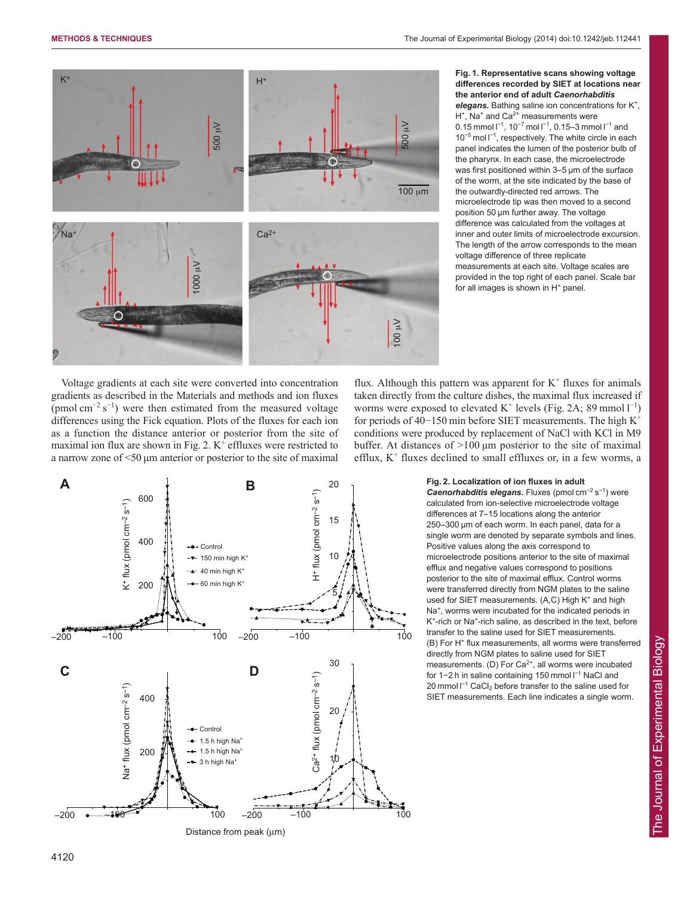

**Fig. 1. Representative scans showing voltage differences recorded by SIET at locations near the anterior end of adult** *Caenorhabditis elegans***.** Bathing saline ion concentrations for K+,  $H^+$ , Na<sup>+</sup> and Ca<sup>2+</sup> measurements were 0.15 mmol  $I^{-1}$ , 10<sup>-7</sup> mol  $I^{-1}$ , 0.15–3 mmol  $I^{-1}$  and 10<sup>-5</sup> mol l<sup>-1</sup>, respectively. The white circle in each panel indicates the lumen of the posterior bulb of the pharynx. In each case, the microelectrode was first positioned within 3–5 μm of the surface of the worm, at the site indicated by the base of the outwardly-directed red arrows. The microelectrode tip was then moved to a second position 50 μm further away. The voltage difference was calculated from the voltages at inner and outer limits of microelectrode excursion. The length of the arrow corresponds to the mean voltage difference of three replicate measurements at each site. Voltage scales are provided in the top right of each panel. Scale bar for all images is shown in  $H<sup>+</sup>$  panel.

Voltage gradients at each site were converted into concentration gradients as described in the Materials and methods and ion fluxes (pmol cm<sup>−</sup><sup>2</sup> s<sup>−</sup><sup>1</sup> ) were then estimated from the measured voltage differences using the Fick equation. Plots of the fluxes for each ion as a function the distance anterior or posterior from the site of maximal ion flux are shown in Fig. 2.  $K^+$  effluxes were restricted to a narrow zone of <50 μm anterior or posterior to the site of maximal flux. Although this pattern was apparent for  $K^+$  fluxes for animals taken directly from the culture dishes, the maximal flux increased if worms were exposed to elevated  $K^+$  levels (Fig. 2A; 89 mmol  $1^{-1}$ ) for periods of 40−150 min before SIET measurements. The high K<sup>+</sup> conditions were produced by replacement of NaCl with KCl in M9 buffer. At distances of >100 μm posterior to the site of maximal efflux,  $K^+$  fluxes declined to small effluxes or, in a few worms, a



**Fig. 2. Localization of ion fluxes in adult** Caenorhabditis elegans. Fluxes (pmol cm<sup>-2</sup> s<sup>-1</sup>) were calculated from ion-selective microelectrode voltage differences at 7–15 locations along the anterior 250–300 μm of each worm. In each panel, data for a single worm are denoted by separate symbols and lines. Positive values along the axis correspond to microelectrode positions anterior to the site of maximal efflux and negative values correspond to positions posterior to the site of maximal efflux. Control worms were transferred directly from NGM plates to the saline used for SIET measurements. (A,C) High K<sup>+</sup> and high Na<sup>+</sup>, worms were incubated for the indicated periods in K<sup>+</sup>-rich or Na<sup>+</sup>-rich saline, as described in the text, before transfer to the saline used for SIET measurements. (B) For H<sup>+</sup> flux measurements, all worms were transferred directly from NGM plates to saline used for SIET measurements. (D) For Ca<sup>2+</sup>, all worms were incubated for 1-2 h in saline containing 150 mmol l<sup>-1</sup> NaCl and 20 mmol l<sup>-1</sup> CaCl<sub>2</sub> before transfer to the saline used for SIET measurements. Each line indicates a single worm.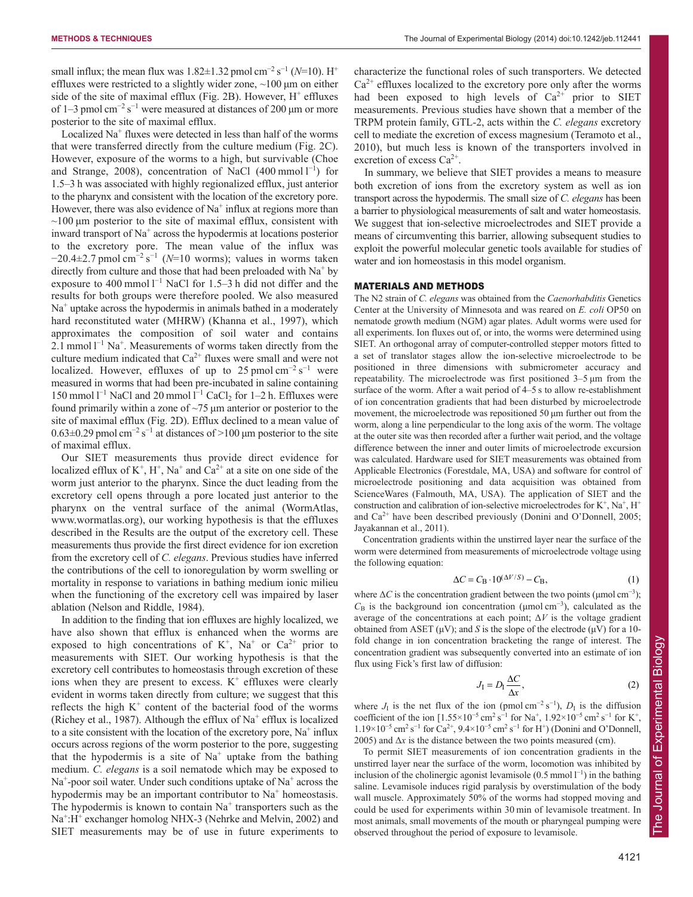small influx; the mean flux was  $1.82 \pm 1.32$  pmol cm<sup>-2</sup> s<sup>-1</sup> ( $N=10$ ). H<sup>+</sup> effluxes were restricted to a slightly wider zone, ~100 μm on either side of the site of maximal efflux (Fig. 2B). However,  $H^+$  effluxes of 1–3 pmol cm<sup>-2</sup> s<sup>-1</sup> were measured at distances of 200 µm or more posterior to the site of maximal efflux.

Localized  $Na<sup>+</sup>$  fluxes were detected in less than half of the worms that were transferred directly from the culture medium (Fig. 2C). However, exposure of the worms to a high, but survivable (Choe and Strange, 2008), concentration of NaCl  $(400 \text{ mmol } l^{-1})$  for 1.5–3 h was associated with highly regionalized efflux, just anterior to the pharynx and consistent with the location of the excretory pore. However, there was also evidence of  $Na<sup>+</sup>$  influx at regions more than  $\sim$ 100  $\mu$ m posterior to the site of maximal efflux, consistent with inward transport of  $Na<sup>+</sup>$  across the hypodermis at locations posterior to the excretory pore. The mean value of the influx was −20.4±2.7 pmol cm<sup>−</sup><sup>2</sup> s<sup>−</sup><sup>1</sup> (*N*=10 worms); values in worms taken directly from culture and those that had been preloaded with  $Na<sup>+</sup>$  by exposure to 400 mmol  $1^{-1}$  NaCl for 1.5–3 h did not differ and the results for both groups were therefore pooled. We also measured  $Na<sup>+</sup>$  uptake across the hypodermis in animals bathed in a moderately hard reconstituted water (MHRW) (Khanna et al., 1997), which approximates the composition of soil water and contains 2.1 mmol  $1^{-1}$  Na<sup>+</sup>. Measurements of worms taken directly from the culture medium indicated that  $Ca^{2+}$  fluxes were small and were not localized. However, effluxes of up to 25 pmol cm<sup>-2</sup> s<sup>-1</sup> were measured in worms that had been pre-incubated in saline containing 150 mmol  $l^{-1}$  NaCl and 20 mmol  $l^{-1}$  CaCl<sub>2</sub> for 1–2 h. Effluxes were found primarily within a zone of  $\sim$ 75  $\mu$ m anterior or posterior to the site of maximal efflux (Fig. 2D). Efflux declined to a mean value of  $0.63 \pm 0.29$  pmol cm<sup>-2</sup> s<sup>-1</sup> at distances of >100 µm posterior to the site of maximal efflux.

Our SIET measurements thus provide direct evidence for localized efflux of  $K^+$ ,  $H^+$ , Na<sup>+</sup> and Ca<sup>2+</sup> at a site on one side of the worm just anterior to the pharynx. Since the duct leading from the excretory cell opens through a pore located just anterior to the pharynx on the ventral surface of the animal (WormAtlas, www.wormatlas.org), our working hypothesis is that the effluxes described in the Results are the output of the excretory cell. These measurements thus provide the first direct evidence for ion excretion from the excretory cell of *C. elegans*. Previous studies have inferred the contributions of the cell to ionoregulation by worm swelling or mortality in response to variations in bathing medium ionic milieu when the functioning of the excretory cell was impaired by laser ablation (Nelson and Riddle, 1984).

In addition to the finding that ion effluxes are highly localized, we have also shown that efflux is enhanced when the worms are exposed to high concentrations of  $K^+$ , Na<sup>+</sup> or Ca<sup>2+</sup> prior to measurements with SIET. Our working hypothesis is that the excretory cell contributes to homeostasis through excretion of these ions when they are present to excess.  $K^+$  effluxes were clearly evident in worms taken directly from culture; we suggest that this reflects the high  $K^+$  content of the bacterial food of the worms (Richey et al., 1987). Although the efflux of  $Na<sup>+</sup>$  efflux is localized to a site consistent with the location of the excretory pore,  $Na<sup>+</sup>$  influx occurs across regions of the worm posterior to the pore, suggesting that the hypodermis is a site of  $Na<sup>+</sup>$  uptake from the bathing medium. *C. elegans* is a soil nematode which may be exposed to Na<sup>+</sup>-poor soil water. Under such conditions uptake of Na<sup>+</sup> across the hypodermis may be an important contributor to  $Na<sup>+</sup>$  homeostasis. The hypodermis is known to contain  $Na<sup>+</sup>$  transporters such as the Na<sup>+</sup>:H<sup>+</sup> exchanger homolog NHX-3 (Nehrke and Melvin, 2002) and SIET measurements may be of use in future experiments to characterize the functional roles of such transporters. We detected  $Ca<sup>2+</sup>$  effluxes localized to the excretory pore only after the worms had been exposed to high levels of  $Ca^{2+}$  prior to SIET measurements. Previous studies have shown that a member of the TRPM protein family, GTL-2, acts within the *C. elegans* excretory cell to mediate the excretion of excess magnesium (Teramoto et al., 2010), but much less is known of the transporters involved in excretion of excess  $Ca^{2+}$ .

In summary, we believe that SIET provides a means to measure both excretion of ions from the excretory system as well as ion transport across the hypodermis. The small size of *C. elegans* has been a barrier to physiological measurements of salt and water homeostasis. We suggest that ion-selective microelectrodes and SIET provide a means of circumventing this barrier, allowing subsequent studies to exploit the powerful molecular genetic tools available for studies of water and ion homeostasis in this model organism.

## MATERIALS AND METHODS

The N2 strain of *C. elegans* was obtained from the *Caenorhabditis* Genetics Center at the University of Minnesota and was reared on *E. coli* OP50 on nematode growth medium (NGM) agar plates. Adult worms were used for all experiments. Ion fluxes out of, or into, the worms were determined using SIET. An orthogonal array of computer-controlled stepper motors fitted to a set of translator stages allow the ion-selective microelectrode to be positioned in three dimensions with submicrometer accuracy and repeatability. The microelectrode was first positioned 3–5 μm from the surface of the worm. After a wait period of 4–5 s to allow re-establishment of ion concentration gradients that had been disturbed by microelectrode movement, the microelectrode was repositioned 50 μm further out from the worm, along a line perpendicular to the long axis of the worm. The voltage at the outer site was then recorded after a further wait period, and the voltage difference between the inner and outer limits of microelectrode excursion was calculated. Hardware used for SIET measurements was obtained from Applicable Electronics (Forestdale, MA, USA) and software for control of microelectrode positioning and data acquisition was obtained from ScienceWares (Falmouth, MA, USA). The application of SIET and the construction and calibration of ion-selective microelectrodes for  $K^+$ , Na<sup>+</sup>, H<sup>+</sup> and  $Ca^{2+}$  have been described previously (Donini and O'Donnell, 2005; Jayakannan et al., 2011).

Concentration gradients within the unstirred layer near the surface of the worm were determined from measurements of microelectrode voltage using the following equation:

$$
\Delta C = C_{\mathbf{B}} \cdot 10^{(\Delta V/S)} - C_{\mathbf{B}},\tag{1}
$$

where  $\Delta C$  is the concentration gradient between the two points ( $\mu$ mol cm<sup>-3</sup>);  $C_B$  is the background ion concentration ( $\mu$ mol cm<sup>-3</sup>), calculated as the average of the concentrations at each point;  $\Delta V$  is the voltage gradient obtained from ASET ( $\mu$ V); and *S* is the slope of the electrode ( $\mu$ V) for a 10fold change in ion concentration bracketing the range of interest. The concentration gradient was subsequently converted into an estimate of ion flux using Fick's first law of diffusion:

$$
J_{\rm I} = D_{\rm I} \frac{\Delta C}{\Delta x},\tag{2}
$$

where  $J_I$  is the net flux of the ion (pmol cm<sup>-2</sup> s<sup>-1</sup>),  $D_I$  is the diffusion coefficient of the ion  $[1.55 \times 10^{-5} \text{ cm}^2 \text{ s}^{-1}$  for Na<sup>+</sup>,  $1.92 \times 10^{-5} \text{ cm}^2 \text{ s}^{-1}$  for K<sup>+</sup>, 1.19×10<sup>-5</sup> cm<sup>2</sup> s<sup>-1</sup> for Ca<sup>2+</sup>, 9.4×10<sup>-5</sup> cm<sup>2</sup> s<sup>-1</sup> for H<sup>+</sup>) (Donini and O'Donnell, 2005) and  $\Delta x$  is the distance between the two points measured (cm).

To permit SIET measurements of ion concentration gradients in the unstirred layer near the surface of the worm, locomotion was inhibited by inclusion of the cholinergic agonist levamisole  $(0.5 \text{ mmol } 1^{-1})$  in the bathing saline. Levamisole induces rigid paralysis by overstimulation of the body wall muscle. Approximately 50% of the worms had stopped moving and could be used for experiments within 30 min of levamisole treatment. In most animals, small movements of the mouth or pharyngeal pumping were observed throughout the period of exposure to levamisole.